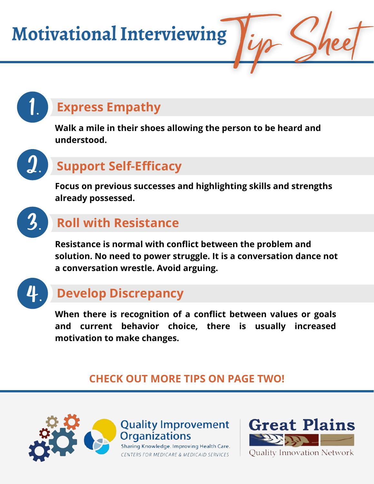## **Express Empathy**

**Walk a mile in their shoes allowing the person to be heard and understood.**

### **Support Self-Efficacy**

**Focus on previous successes and highlighting skills and strengths already possessed.**

# 3.

1.

2.

#### **Roll with Resistance**

**Resistance is normal with conflict between the problem and solution. No need to power struggle. It is a conversation dance not a conversation wrestle. Avoid arguing.**



#### **Develop Discrepancy**

**When there is recognition of a conflict between values or goals and current behavior choice, there is usually increased motivation to make changes.**

#### **CHECK OUT MORE TIPS ON PAGE TWO!**





Sharing Knowledge. Improving Health Care. CENTERS FOR MEDICARE & MEDICAID SERVICES